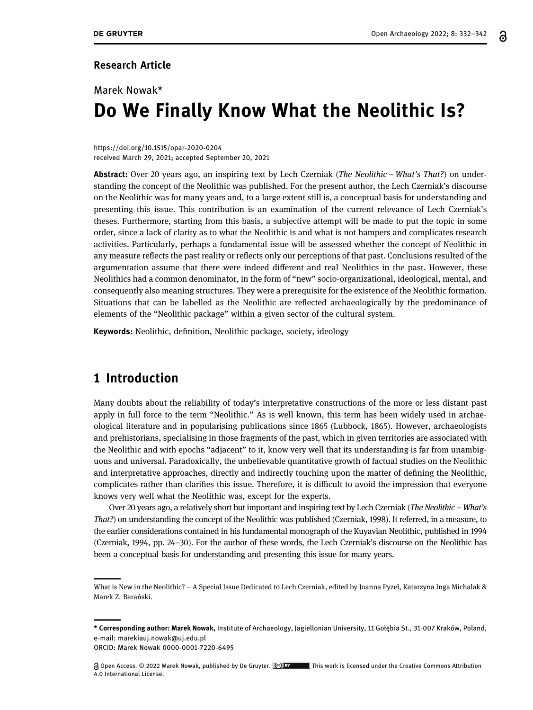#### Research Article

# Marek Nowak\* Do We Finally Know What the Neolithic Is?

#### [https://doi.org/10.1515/opar](https://doi.org/10.1515/opar-2020-0204)-2020-0204 received March 29, 2021; accepted September 20, 2021

Abstract: Over 20 years ago, an inspiring text by Lech Czerniak (The Neolithic – What's That?) on understanding the concept of the Neolithic was published. For the present author, the Lech Czerniak's discourse on the Neolithic was for many years and, to a large extent still is, a conceptual basis for understanding and presenting this issue. This contribution is an examination of the current relevance of Lech Czerniak's theses. Furthermore, starting from this basis, a subjective attempt will be made to put the topic in some order, since a lack of clarity as to what the Neolithic is and what is not hampers and complicates research activities. Particularly, perhaps a fundamental issue will be assessed whether the concept of Neolithic in any measure reflects the past reality or reflects only our perceptions of that past. Conclusions resulted of the argumentation assume that there were indeed different and real Neolithics in the past. However, these Neolithics had a common denominator, in the form of "new" socio-organizational, ideological, mental, and consequently also meaning structures. They were a prerequisite for the existence of the Neolithic formation. Situations that can be labelled as the Neolithic are reflected archaeologically by the predominance of elements of the "Neolithic package" within a given sector of the cultural system.

Keywords: Neolithic, definition, Neolithic package, society, ideology

### 1 Introduction

Many doubts about the reliability of today's interpretative constructions of the more or less distant past apply in full force to the term "Neolithic." As is well known, this term has been widely used in archaeological literature and in popularising publications since 1865 (Lubbock, [1865](#page-9-0)). However, archaeologists and prehistorians, specialising in those fragments of the past, which in given territories are associated with the Neolithic and with epochs "adjacent" to it, know very well that its understanding is far from unambiguous and universal. Paradoxically, the unbelievable quantitative growth of factual studies on the Neolithic and interpretative approaches, directly and indirectly touching upon the matter of defining the Neolithic, complicates rather than clarifies this issue. Therefore, it is difficult to avoid the impression that everyone knows very well what the Neolithic was, except for the experts.

Over 20 years ago, a relatively short but important and inspiring text by Lech Czerniak (The Neolithic – What's That?) on understanding the concept of the Neolithic was published (Czerniak, [1998](#page-9-1)). It referred, in a measure, to the earlier considerations contained in his fundamental monograph of the Kuyavian Neolithic, published in 1994 (Czerniak, [1994](#page-9-2), pp. 24–30). For the author of these words, the Lech Czerniak's discourse on the Neolithic has been a conceptual basis for understanding and presenting this issue for many years.

What is New in the Neolithic? – A Special Issue Dedicated to Lech Czerniak, edited by Joanna Pyzel, Katarzyna Inga Michalak & Marek Z. Barański.

<sup>\*</sup> Corresponding author: Marek Nowak, Institute of Archaeology, Jagiellonian University, 11 Gołębia St., 31-007 Kraków, Poland, e-mail: [marekiauj.nowak@uj.edu.pl](mailto:marekiauj.nowak@uj.edu.pl)

ORCID: Marek Nowa[k 0000](http://orcid.org/0000-0001-7220-6495)-0001-7220-6495

<sup>@</sup> Open Access. © 2022 Marek Nowak, published by De Gruyter. **[@] BYWARES THE STARES THE STARES A**ttribution The Creative Commons Attribution 4.0 International License.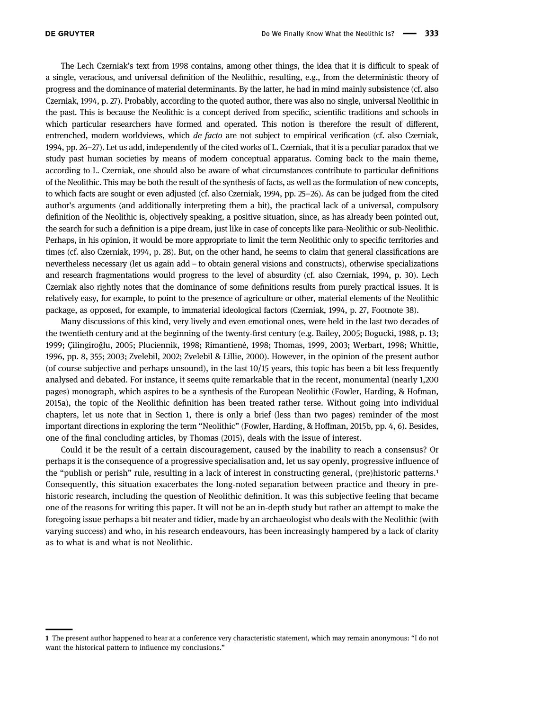<span id="page-1-0"></span>

The Lech Czerniak's text from 1998 contains, among other things, the idea that it is difficult to speak of a single, veracious, and universal definition of the Neolithic, resulting, e.g., from the deterministic theory of progress and the dominance of material determinants. By the latter, he had in mind mainly subsistence (cf. also Czerniak, [1994](#page-9-2), p. 27). Probably, according to the quoted author, there was also no single, universal Neolithic in the past. This is because the Neolithic is a concept derived from specific, scientific traditions and schools in which particular researchers have formed and operated. This notion is therefore the result of different, entrenched, modern worldviews, which de facto are not subject to empirical verification (cf. also Czerniak, [1994](#page-9-2), pp. 26–27). Let us add, independently of the cited works of L. Czerniak, that it is a peculiar paradox that we study past human societies by means of modern conceptual apparatus. Coming back to the main theme, according to L. Czerniak, one should also be aware of what circumstances contribute to particular definitions of the Neolithic. This may be both the result of the synthesis of facts, as well as the formulation of new concepts, to which facts are sought or even adjusted (cf. also Czerniak, [1994,](#page-9-2) pp. 25–26). As can be judged from the cited author's arguments (and additionally interpreting them a bit), the practical lack of a universal, compulsory definition of the Neolithic is, objectively speaking, a positive situation, since, as has already been pointed out, the search for such a definition is a pipe dream, just like in case of concepts like para-Neolithic or sub-Neolithic. Perhaps, in his opinion, it would be more appropriate to limit the term Neolithic only to specific territories and times (cf. also Czerniak, [1994,](#page-9-2) p. 28). But, on the other hand, he seems to claim that general classifications are nevertheless necessary (let us again add – to obtain general visions and constructs), otherwise specializations and research fragmentations would progress to the level of absurdity (cf. also Czerniak, [1994,](#page-9-2) p. 30). Lech Czerniak also rightly notes that the dominance of some definitions results from purely practical issues. It is relatively easy, for example, to point to the presence of agriculture or other, material elements of the Neolithic package, as opposed, for example, to immaterial ideological factors (Czerniak, [1994,](#page-9-2) p. 27, Footnote 38).

Many discussions of this kind, very lively and even emotional ones, were held in the last two decades of the twentieth century and at the beginning of the twenty-first century (e.g. Bailey, [2005](#page-8-0); Bogucki, [1988](#page-8-1), p. 13; [1999](#page-8-2); Çilingiroğlu, [2005;](#page-9-1) Pluciennik, [1998;](#page-10-0) Rimantienė, [1998](#page-10-1); Thomas, [1999](#page-10-2), [2003](#page-10-3); Werbart, [1998;](#page-10-4) Whittle, [1996](#page-10-5), pp. 8, 355; [2003](#page-10-6); Zvelebil, [2002;](#page-10-6) Zvelebil & Lillie, [2000](#page-10-7)). However, in the opinion of the present author (of course subjective and perhaps unsound), in the last 10/15 years, this topic has been a bit less frequently analysed and debated. For instance, it seems quite remarkable that in the recent, monumental (nearly 1,200 pages) monograph, which aspires to be a synthesis of the European Neolithic (Fowler, Harding, & Hofman, [2015a](#page-9-3)), the topic of the Neolithic definition has been treated rather terse. Without going into individual chapters, let us note that in Section 1, there is only a brief (less than two pages) reminder of the most important directions in exploring the term "Neolithic" (Fowler, Harding, & Hoffman, [2015b](#page-9-4), pp. 4, 6). Besides, one of the final concluding articles, by Thomas ([2015](#page-10-8)), deals with the issue of interest.

Could it be the result of a certain discouragement, caused by the inability to reach a consensus? Or perhaps it is the consequence of a progressive specialisation and, let us say openly, progressive influence of the "publish or perish" rule, resulting in a lack of interest in constructing general, (pre)historic patterns.<sup>1</sup> Consequently, this situation exacerbates the long-noted separation between practice and theory in prehistoric research, including the question of Neolithic definition. It was this subjective feeling that became one of the reasons for writing this paper. It will not be an in-depth study but rather an attempt to make the foregoing issue perhaps a bit neater and tidier, made by an archaeologist who deals with the Neolithic (with varying success) and who, in his research endeavours, has been increasingly hampered by a lack of clarity as to what is and what is not Neolithic.

<sup>1</sup> The present author happened to hear at a conference very characteristic statement, which may remain anonymous: "I do not want the historical pattern to influence my conclusions."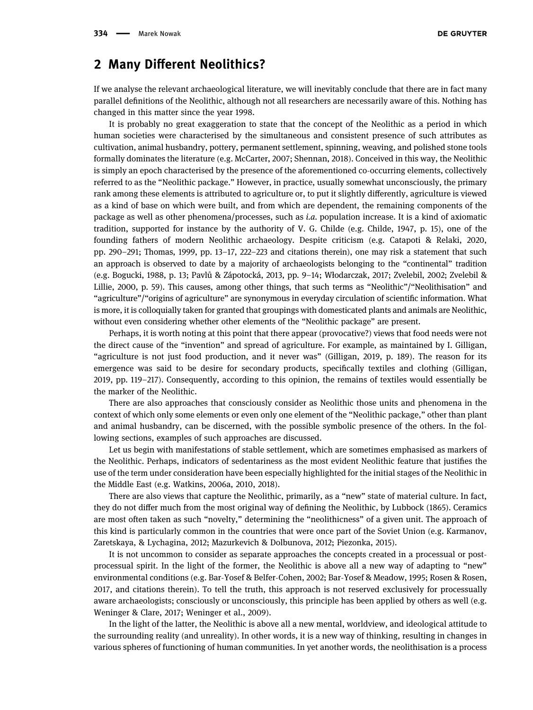#### 2 Many Different Neolithics?

If we analyse the relevant archaeological literature, we will inevitably conclude that there are in fact many parallel definitions of the Neolithic, although not all researchers are necessarily aware of this. Nothing has changed in this matter since the year 1998.

It is probably no great exaggeration to state that the concept of the Neolithic as a period in which human societies were characterised by the simultaneous and consistent presence of such attributes as cultivation, animal husbandry, pottery, permanent settlement, spinning, weaving, and polished stone tools formally dominates the literature (e.g. McCarter, [2007;](#page-9-5) Shennan, [2018](#page-10-9)). Conceived in this way, the Neolithic is simply an epoch characterised by the presence of the aforementioned co-occurring elements, collectively referred to as the "Neolithic package." However, in practice, usually somewhat unconsciously, the primary rank among these elements is attributed to agriculture or, to put it slightly differently, agriculture is viewed as a kind of base on which were built, and from which are dependent, the remaining components of the package as well as other phenomena/processes, such as i.a. population increase. It is a kind of axiomatic tradition, supported for instance by the authority of V. G. Childe (e.g. Childe, [1947,](#page-9-6) p. 15), one of the founding fathers of modern Neolithic archaeology. Despite criticism (e.g. Catapoti & Relaki, [2020](#page-9-7), pp. 290–291; Thomas, [1999,](#page-10-2) pp. 13–17, 222–223 and citations therein), one may risk a statement that such an approach is observed to date by a majority of archaeologists belonging to the "continental" tradition (e.g. Bogucki, [1988,](#page-8-1) p. 13; Pavlů & Zápotocká, [2013](#page-10-10), pp. 9–14; Włodarczak, [2017](#page-10-7); Zvelebil, [2002;](#page-10-6) Zvelebil & Lillie, [2000,](#page-10-7) p. 59). This causes, among other things, that such terms as "Neolithic"/"Neolithisation" and "agriculture"/"origins of agriculture" are synonymous in everyday circulation of scientific information. What is more, it is colloquially taken for granted that groupings with domesticated plants and animals are Neolithic, without even considering whether other elements of the "Neolithic package" are present.

Perhaps, it is worth noting at this point that there appear (provocative?) views that food needs were not the direct cause of the "invention" and spread of agriculture. For example, as maintained by I. Gilligan, "agriculture is not just food production, and it never was" (Gilligan, [2019,](#page-9-4) p. 189). The reason for its emergence was said to be desire for secondary products, specifically textiles and clothing (Gilligan, [2019](#page-9-4), pp. 119–217). Consequently, according to this opinion, the remains of textiles would essentially be the marker of the Neolithic.

There are also approaches that consciously consider as Neolithic those units and phenomena in the context of which only some elements or even only one element of the "Neolithic package," other than plant and animal husbandry, can be discerned, with the possible symbolic presence of the others. In the following sections, examples of such approaches are discussed.

Let us begin with manifestations of stable settlement, which are sometimes emphasised as markers of the Neolithic. Perhaps, indicators of sedentariness as the most evident Neolithic feature that justifies the use of the term under consideration have been especially highlighted for the initial stages of the Neolithic in the Middle East (e.g. Watkins, [2006a,](#page-10-11) [2010,](#page-10-12) [2018](#page-10-13)).

There are also views that capture the Neolithic, primarily, as a "new" state of material culture. In fact, they do not differ much from the most original way of defining the Neolithic, by Lubbock ([1865](#page-9-0)). Ceramics are most often taken as such "novelty," determining the "neolithicness" of a given unit. The approach of this kind is particularly common in the countries that were once part of the Soviet Union (e.g. Karmanov, Zaretskaya, & Lychagina, [2012;](#page-9-8) Mazurkevich & Dolbunova, [2012;](#page-9-9) Piezonka, [2015](#page-10-14)).

It is not uncommon to consider as separate approaches the concepts created in a processual or postprocessual spirit. In the light of the former, the Neolithic is above all a new way of adapting to "new" environmental conditions (e.g. Bar-Yosef & Belfer-Cohen, [2002;](#page-8-3) Bar-Yosef & Meadow, [1995](#page-8-4); Rosen & Rosen, [2017,](#page-10-15) and citations therein). To tell the truth, this approach is not reserved exclusively for processually aware archaeologists; consciously or unconsciously, this principle has been applied by others as well (e.g. Weninger & Clare, [2017](#page-10-16); Weninger et al., [2009](#page-10-17)).

In the light of the latter, the Neolithic is above all a new mental, worldview, and ideological attitude to the surrounding reality (and unreality). In other words, it is a new way of thinking, resulting in changes in various spheres of functioning of human communities. In yet another words, the neolithisation is a process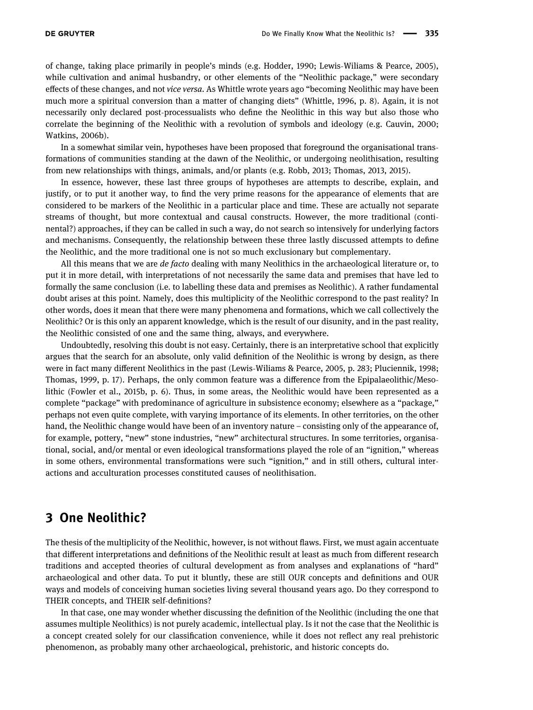of change, taking place primarily in people's minds (e.g. Hodder, [1990;](#page-9-10) Lewis-Wiliams & Pearce, [2005](#page-9-11)), while cultivation and animal husbandry, or other elements of the "Neolithic package," were secondary effects of these changes, and not vice versa. As Whittle wrote years ago "becoming Neolithic may have been much more a spiritual conversion than a matter of changing diets" (Whittle, [1996,](#page-10-5) p. 8). Again, it is not necessarily only declared post-processualists who define the Neolithic in this way but also those who correlate the beginning of the Neolithic with a revolution of symbols and ideology (e.g. Cauvin, [2000](#page-9-12); Watkins, [2006b](#page-10-18)).

In a somewhat similar vein, hypotheses have been proposed that foreground the organisational transformations of communities standing at the dawn of the Neolithic, or undergoing neolithisation, resulting from new relationships with things, animals, and/or plants (e.g. Robb, [2013](#page-10-19); Thomas, [2013,](#page-10-20) [2015](#page-10-8)).

In essence, however, these last three groups of hypotheses are attempts to describe, explain, and justify, or to put it another way, to find the very prime reasons for the appearance of elements that are considered to be markers of the Neolithic in a particular place and time. These are actually not separate streams of thought, but more contextual and causal constructs. However, the more traditional (continental?) approaches, if they can be called in such a way, do not search so intensively for underlying factors and mechanisms. Consequently, the relationship between these three lastly discussed attempts to define the Neolithic, and the more traditional one is not so much exclusionary but complementary.

All this means that we are de facto dealing with many Neolithics in the archaeological literature or, to put it in more detail, with interpretations of not necessarily the same data and premises that have led to formally the same conclusion (i.e. to labelling these data and premises as Neolithic). A rather fundamental doubt arises at this point. Namely, does this multiplicity of the Neolithic correspond to the past reality? In other words, does it mean that there were many phenomena and formations, which we call collectively the Neolithic? Or is this only an apparent knowledge, which is the result of our disunity, and in the past reality, the Neolithic consisted of one and the same thing, always, and everywhere.

Undoubtedly, resolving this doubt is not easy. Certainly, there is an interpretative school that explicitly argues that the search for an absolute, only valid definition of the Neolithic is wrong by design, as there were in fact many different Neolithics in the past (Lewis-Wiliams & Pearce, [2005](#page-9-11), p. 283; Pluciennik, [1998](#page-10-0); Thomas, [1999](#page-10-2), p. 17). Perhaps, the only common feature was a difference from the Epipalaeolithic/Mesolithic (Fowler et al., [2015b](#page-9-3), p. 6). Thus, in some areas, the Neolithic would have been represented as a complete "package" with predominance of agriculture in subsistence economy; elsewhere as a "package," perhaps not even quite complete, with varying importance of its elements. In other territories, on the other hand, the Neolithic change would have been of an inventory nature – consisting only of the appearance of, for example, pottery, "new" stone industries, "new" architectural structures. In some territories, organisational, social, and/or mental or even ideological transformations played the role of an "ignition," whereas in some others, environmental transformations were such "ignition," and in still others, cultural interactions and acculturation processes constituted causes of neolithisation.

#### 3 One Neolithic?

The thesis of the multiplicity of the Neolithic, however, is not without flaws. First, we must again accentuate that different interpretations and definitions of the Neolithic result at least as much from different research traditions and accepted theories of cultural development as from analyses and explanations of "hard" archaeological and other data. To put it bluntly, these are still OUR concepts and definitions and OUR ways and models of conceiving human societies living several thousand years ago. Do they correspond to THEIR concepts, and THEIR self-definitions?

In that case, one may wonder whether discussing the definition of the Neolithic (including the one that assumes multiple Neolithics) is not purely academic, intellectual play. Is it not the case that the Neolithic is a concept created solely for our classification convenience, while it does not reflect any real prehistoric phenomenon, as probably many other archaeological, prehistoric, and historic concepts do.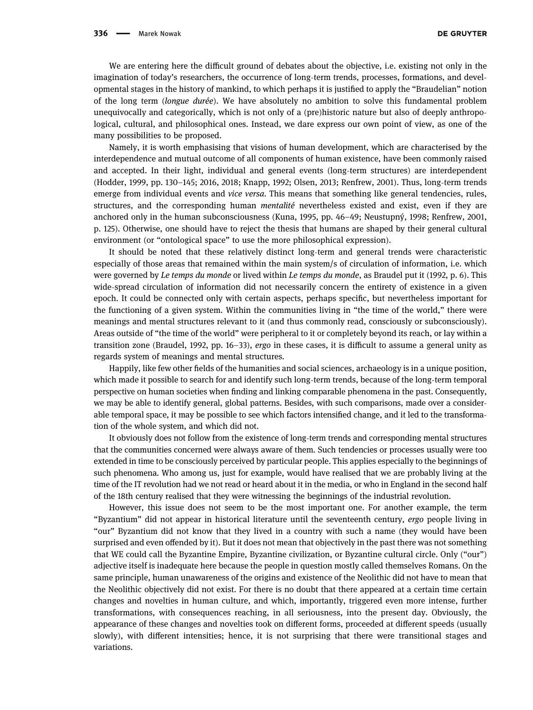We are entering here the difficult ground of debates about the objective, i.e. existing not only in the imagination of today's researchers, the occurrence of long-term trends, processes, formations, and developmental stages in the history of mankind, to which perhaps it is justified to apply the "Braudelian" notion of the long term (longue durée). We have absolutely no ambition to solve this fundamental problem unequivocally and categorically, which is not only of a (pre)historic nature but also of deeply anthropological, cultural, and philosophical ones. Instead, we dare express our own point of view, as one of the many possibilities to be proposed.

Namely, it is worth emphasising that visions of human development, which are characterised by the interdependence and mutual outcome of all components of human existence, have been commonly raised and accepted. In their light, individual and general events (long-term structures) are interdependent (Hodder, [1999](#page-9-13), pp. 130–145; [2016](#page-9-14), [2018](#page-9-15); Knapp, [1992;](#page-9-16) Olsen, [2013;](#page-9-5) Renfrew, [2001](#page-10-21)). Thus, long-term trends emerge from individual events and vice versa. This means that something like general tendencies, rules, structures, and the corresponding human mentalité nevertheless existed and exist, even if they are anchored only in the human subconsciousness (Kuna, [1995](#page-9-17), pp. 46–49; Neustupný, [1998;](#page-9-18) Renfrew, [2001](#page-10-21), p. 125). Otherwise, one should have to reject the thesis that humans are shaped by their general cultural environment (or "ontological space" to use the more philosophical expression).

It should be noted that these relatively distinct long-term and general trends were characteristic especially of those areas that remained within the main system/s of circulation of information, i.e. which were governed by Le temps du monde or lived within Le temps du monde, as Braudel put it ([1992](#page-9-19), p. 6). This wide-spread circulation of information did not necessarily concern the entirety of existence in a given epoch. It could be connected only with certain aspects, perhaps specific, but nevertheless important for the functioning of a given system. Within the communities living in "the time of the world," there were meanings and mental structures relevant to it (and thus commonly read, consciously or subconsciously). Areas outside of "the time of the world" were peripheral to it or completely beyond its reach, or lay within a transition zone (Braudel, [1992](#page-9-19), pp. 16–33), ergo in these cases, it is difficult to assume a general unity as regards system of meanings and mental structures.

Happily, like few other fields of the humanities and social sciences, archaeology is in a unique position, which made it possible to search for and identify such long-term trends, because of the long-term temporal perspective on human societies when finding and linking comparable phenomena in the past. Consequently, we may be able to identify general, global patterns. Besides, with such comparisons, made over a considerable temporal space, it may be possible to see which factors intensified change, and it led to the transformation of the whole system, and which did not.

It obviously does not follow from the existence of long-term trends and corresponding mental structures that the communities concerned were always aware of them. Such tendencies or processes usually were too extended in time to be consciously perceived by particular people. This applies especially to the beginnings of such phenomena. Who among us, just for example, would have realised that we are probably living at the time of the IT revolution had we not read or heard about it in the media, or who in England in the second half of the 18th century realised that they were witnessing the beginnings of the industrial revolution.

However, this issue does not seem to be the most important one. For another example, the term "Byzantium" did not appear in historical literature until the seventeenth century, ergo people living in "our" Byzantium did not know that they lived in a country with such a name (they would have been surprised and even offended by it). But it does not mean that objectively in the past there was not something that WE could call the Byzantine Empire, Byzantine civilization, or Byzantine cultural circle. Only ("our") adjective itself is inadequate here because the people in question mostly called themselves Romans. On the same principle, human unawareness of the origins and existence of the Neolithic did not have to mean that the Neolithic objectively did not exist. For there is no doubt that there appeared at a certain time certain changes and novelties in human culture, and which, importantly, triggered even more intense, further transformations, with consequences reaching, in all seriousness, into the present day. Obviously, the appearance of these changes and novelties took on different forms, proceeded at different speeds (usually slowly), with different intensities; hence, it is not surprising that there were transitional stages and variations.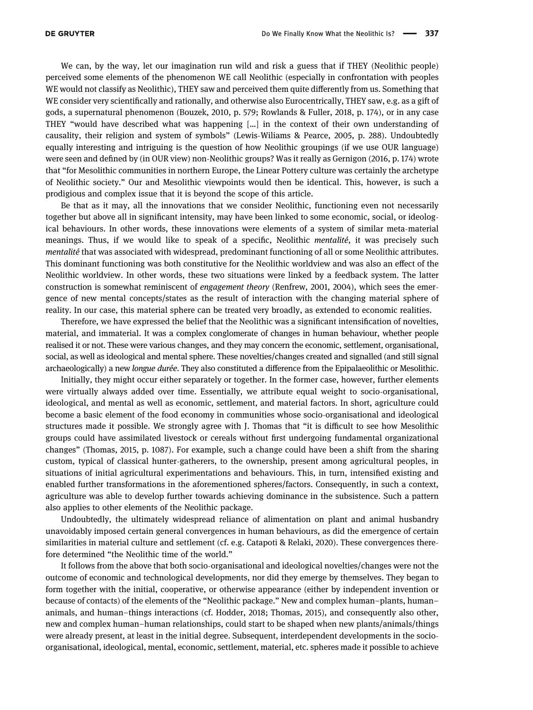We can, by the way, let our imagination run wild and risk a guess that if THEY (Neolithic people) perceived some elements of the phenomenon WE call Neolithic (especially in confrontation with peoples WE would not classify as Neolithic), THEY saw and perceived them quite differently from us. Something that WE consider very scientifically and rationally, and otherwise also Eurocentrically, THEY saw, e.g. as a gift of gods, a supernatural phenomenon (Bouzek, [2010,](#page-9-20) p. 579; Rowlands & Fuller, [2018](#page-10-22), p. 174), or in any case THEY "would have described what was happening […] in the context of their own understanding of causality, their religion and system of symbols" (Lewis-Wiliams & Pearce, [2005](#page-9-11), p. 288). Undoubtedly equally interesting and intriguing is the question of how Neolithic groupings (if we use OUR language) were seen and defined by (in OUR view) non-Neolithic groups? Was it really as Gernigon ([2016,](#page-9-21) p. 174) wrote that "for Mesolithic communities in northern Europe, the Linear Pottery culture was certainly the archetype of Neolithic society." Our and Mesolithic viewpoints would then be identical. This, however, is such a prodigious and complex issue that it is beyond the scope of this article.

Be that as it may, all the innovations that we consider Neolithic, functioning even not necessarily together but above all in significant intensity, may have been linked to some economic, social, or ideological behaviours. In other words, these innovations were elements of a system of similar meta-material meanings. Thus, if we would like to speak of a specific, Neolithic mentalité, it was precisely such mentalité that was associated with widespread, predominant functioning of all or some Neolithic attributes. This dominant functioning was both constitutive for the Neolithic worldview and was also an effect of the Neolithic worldview. In other words, these two situations were linked by a feedback system. The latter construction is somewhat reminiscent of engagement theory (Renfrew, [2001](#page-10-21), [2004](#page-10-23)), which sees the emergence of new mental concepts/states as the result of interaction with the changing material sphere of reality. In our case, this material sphere can be treated very broadly, as extended to economic realities.

Therefore, we have expressed the belief that the Neolithic was a significant intensification of novelties, material, and immaterial. It was a complex conglomerate of changes in human behaviour, whether people realised it or not. These were various changes, and they may concern the economic, settlement, organisational, social, as well as ideological and mental sphere. These novelties/changes created and signalled (and still signal archaeologically) a new longue durée. They also constituted a difference from the Epipalaeolithic or Mesolithic.

Initially, they might occur either separately or together. In the former case, however, further elements were virtually always added over time. Essentially, we attribute equal weight to socio-organisational, ideological, and mental as well as economic, settlement, and material factors. In short, agriculture could become a basic element of the food economy in communities whose socio-organisational and ideological structures made it possible. We strongly agree with J. Thomas that "it is difficult to see how Mesolithic groups could have assimilated livestock or cereals without first undergoing fundamental organizational changes" (Thomas, [2015,](#page-10-8) p. 1087). For example, such a change could have been a shift from the sharing custom, typical of classical hunter-gatherers, to the ownership, present among agricultural peoples, in situations of initial agricultural experimentations and behaviours. This, in turn, intensified existing and enabled further transformations in the aforementioned spheres/factors. Consequently, in such a context, agriculture was able to develop further towards achieving dominance in the subsistence. Such a pattern also applies to other elements of the Neolithic package.

Undoubtedly, the ultimately widespread reliance of alimentation on plant and animal husbandry unavoidably imposed certain general convergences in human behaviours, as did the emergence of certain similarities in material culture and settlement (cf. e.g. Catapoti & Relaki, [2020](#page-9-7)). These convergences therefore determined "the Neolithic time of the world."

It follows from the above that both socio-organisational and ideological novelties/changes were not the outcome of economic and technological developments, nor did they emerge by themselves. They began to form together with the initial, cooperative, or otherwise appearance (either by independent invention or because of contacts) of the elements of the "Neolithic package." New and complex human–plants, human– animals, and human–things interactions (cf. Hodder, [2018;](#page-9-15) Thomas, [2015](#page-10-8)), and consequently also other, new and complex human–human relationships, could start to be shaped when new plants/animals/things were already present, at least in the initial degree. Subsequent, interdependent developments in the socioorganisational, ideological, mental, economic, settlement, material, etc. spheres made it possible to achieve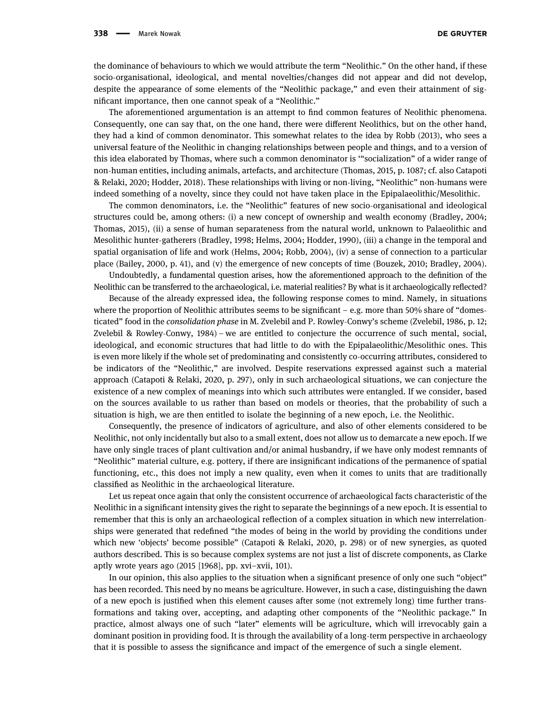the dominance of behaviours to which we would attribute the term "Neolithic." On the other hand, if these socio-organisational, ideological, and mental novelties/changes did not appear and did not develop, despite the appearance of some elements of the "Neolithic package," and even their attainment of significant importance, then one cannot speak of a "Neolithic."

The aforementioned argumentation is an attempt to find common features of Neolithic phenomena. Consequently, one can say that, on the one hand, there were different Neolithics, but on the other hand, they had a kind of common denominator. This somewhat relates to the idea by Robb ([2013](#page-10-19)), who sees a universal feature of the Neolithic in changing relationships between people and things, and to a version of this idea elaborated by Thomas, where such a common denominator is '"socialization" of a wider range of non-human entities, including animals, artefacts, and architecture (Thomas, [2015,](#page-10-8) p. 1087; cf. also Catapoti & Relaki, [2020](#page-9-7); Hodder, [2018](#page-9-15)). These relationships with living or non-living, "Neolithic" non-humans were indeed something of a novelty, since they could not have taken place in the Epipalaeolithic/Mesolithic.

The common denominators, i.e. the "Neolithic" features of new socio-organisational and ideological structures could be, among others: (i) a new concept of ownership and wealth economy (Bradley, [2004](#page-9-22); Thomas, [2015](#page-10-8)), (ii) a sense of human separateness from the natural world, unknown to Palaeolithic and Mesolithic hunter-gatherers (Bradley, [1998;](#page-9-23) Helms, [2004;](#page-9-24) Hodder, [1990](#page-9-10)), (iii) a change in the temporal and spatial organisation of life and work (Helms, [2004;](#page-9-24) Robb, [2004](#page-10-24)), (iv) a sense of connection to a particular place (Bailey, [2000,](#page-8-5) p. 41), and (v) the emergence of new concepts of time (Bouzek, [2010](#page-9-20); Bradley, [2004](#page-9-22)).

Undoubtedly, a fundamental question arises, how the aforementioned approach to the definition of the Neolithic can be transferred to the archaeological, i.e. material realities? By what is it archaeologically reflected?

Because of the already expressed idea, the following response comes to mind. Namely, in situations where the proportion of Neolithic attributes seems to be significant  $-$  e.g. more than 50% share of "domesticated" food in the consolidation phase in M. Zvelebil and P. Rowley-Conwy's scheme (Zvelebil, [1986](#page-10-7), p. 12; Zvelebil & Rowley-Conwy, [1984](#page-10-25)) – we are entitled to conjecture the occurrence of such mental, social, ideological, and economic structures that had little to do with the Epipalaeolithic/Mesolithic ones. This is even more likely if the whole set of predominating and consistently co-occurring attributes, considered to be indicators of the "Neolithic," are involved. Despite reservations expressed against such a material approach (Catapoti & Relaki, [2020](#page-9-7), p. 297), only in such archaeological situations, we can conjecture the existence of a new complex of meanings into which such attributes were entangled. If we consider, based on the sources available to us rather than based on models or theories, that the probability of such a situation is high, we are then entitled to isolate the beginning of a new epoch, i.e. the Neolithic.

Consequently, the presence of indicators of agriculture, and also of other elements considered to be Neolithic, not only incidentally but also to a small extent, does not allow us to demarcate a new epoch. If we have only single traces of plant cultivation and/or animal husbandry, if we have only modest remnants of "Neolithic" material culture, e.g. pottery, if there are insignificant indications of the permanence of spatial functioning, etc., this does not imply a new quality, even when it comes to units that are traditionally classified as Neolithic in the archaeological literature.

Let us repeat once again that only the consistent occurrence of archaeological facts characteristic of the Neolithic in a significant intensity gives the right to separate the beginnings of a new epoch. It is essential to remember that this is only an archaeological reflection of a complex situation in which new interrelationships were generated that redefined "the modes of being in the world by providing the conditions under which new 'objects' become possible" (Catapoti & Relaki, [2020](#page-9-7), p. 298) or of new synergies, as quoted authors described. This is so because complex systems are not just a list of discrete components, as Clarke aptly wrote years ago (2015 [[1968](#page-9-25)], pp. xvi–xvii, 101).

In our opinion, this also applies to the situation when a significant presence of only one such "object" has been recorded. This need by no means be agriculture. However, in such a case, distinguishing the dawn of a new epoch is justified when this element causes after some (not extremely long) time further transformations and taking over, accepting, and adapting other components of the "Neolithic package." In practice, almost always one of such "later" elements will be agriculture, which will irrevocably gain a dominant position in providing food. It is through the availability of a long-term perspective in archaeology that it is possible to assess the significance and impact of the emergence of such a single element.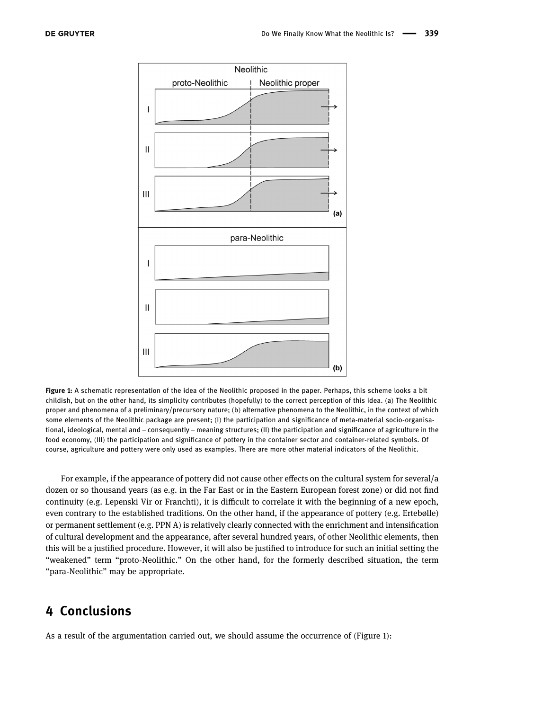<span id="page-7-0"></span>

Figure 1: A schematic representation of the idea of the Neolithic proposed in the paper. Perhaps, this scheme looks a bit childish, but on the other hand, its simplicity contributes (hopefully) to the correct perception of this idea. (a) The Neolithic proper and phenomena of a preliminary/precursory nature; (b) alternative phenomena to the Neolithic, in the context of which some elements of the Neolithic package are present; (I) the participation and significance of meta-material socio-organisational, ideological, mental and – consequently – meaning structures; (II) the participation and significance of agriculture in the food economy, (III) the participation and significance of pottery in the container sector and container-related symbols. Of course, agriculture and pottery were only used as examples. There are more other material indicators of the Neolithic.

For example, if the appearance of pottery did not cause other effects on the cultural system for several/a dozen or so thousand years (as e.g. in the Far East or in the Eastern European forest zone) or did not find continuity (e.g. Lepenski Vir or Franchti), it is difficult to correlate it with the beginning of a new epoch, even contrary to the established traditions. On the other hand, if the appearance of pottery (e.g. Ertebølle) or permanent settlement (e.g. PPN A) is relatively clearly connected with the enrichment and intensification of cultural development and the appearance, after several hundred years, of other Neolithic elements, then this will be a justified procedure. However, it will also be justified to introduce for such an initial setting the "weakened" term "proto-Neolithic." On the other hand, for the formerly described situation, the term "para-Neolithic" may be appropriate.

# 4 Conclusions

As a result of the argumentation carried out, we should assume the occurrence of ([Figure 1](#page-7-0)):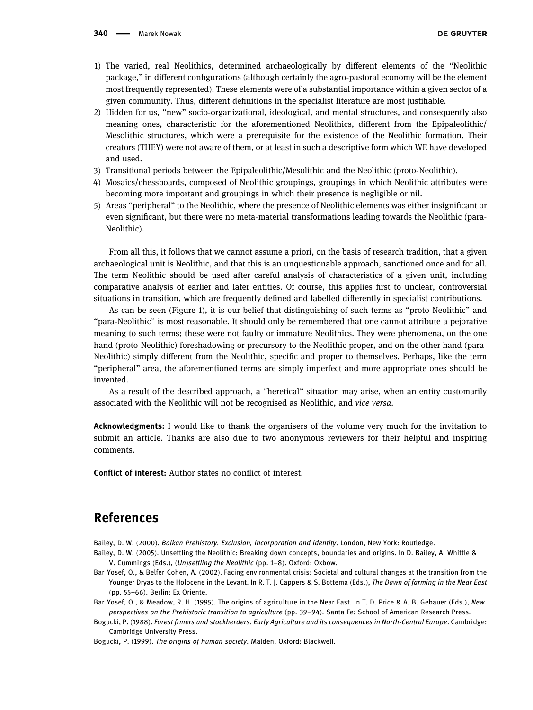- 1) The varied, real Neolithics, determined archaeologically by different elements of the "Neolithic package," in different configurations (although certainly the agro-pastoral economy will be the element most frequently represented). These elements were of a substantial importance within a given sector of a given community. Thus, different definitions in the specialist literature are most justifiable.
- 2) Hidden for us, "new" socio-organizational, ideological, and mental structures, and consequently also meaning ones, characteristic for the aforementioned Neolithics, different from the Epipaleolithic/ Mesolithic structures, which were a prerequisite for the existence of the Neolithic formation. Their creators (THEY) were not aware of them, or at least in such a descriptive form which WE have developed and used.
- 3) Transitional periods between the Epipaleolithic/Mesolithic and the Neolithic (proto-Neolithic).
- 4) Mosaics/chessboards, composed of Neolithic groupings, groupings in which Neolithic attributes were becoming more important and groupings in which their presence is negligible or nil.
- 5) Areas "peripheral" to the Neolithic, where the presence of Neolithic elements was either insignificant or even significant, but there were no meta-material transformations leading towards the Neolithic (para-Neolithic).

From all this, it follows that we cannot assume a priori, on the basis of research tradition, that a given archaeological unit is Neolithic, and that this is an unquestionable approach, sanctioned once and for all. The term Neolithic should be used after careful analysis of characteristics of a given unit, including comparative analysis of earlier and later entities. Of course, this applies first to unclear, controversial situations in transition, which are frequently defined and labelled differently in specialist contributions.

As can be seen ([Figure 1](#page-7-0)), it is our belief that distinguishing of such terms as "proto-Neolithic" and "para-Neolithic" is most reasonable. It should only be remembered that one cannot attribute a pejorative meaning to such terms; these were not faulty or immature Neolithics. They were phenomena, on the one hand (proto-Neolithic) foreshadowing or precursory to the Neolithic proper, and on the other hand (para-Neolithic) simply different from the Neolithic, specific and proper to themselves. Perhaps, like the term "peripheral" area, the aforementioned terms are simply imperfect and more appropriate ones should be invented.

As a result of the described approach, a "heretical" situation may arise, when an entity customarily associated with the Neolithic will not be recognised as Neolithic, and vice versa.

Acknowledgments: I would like to thank the organisers of the volume very much for the invitation to submit an article. Thanks are also due to two anonymous reviewers for their helpful and inspiring comments.

Conflict of interest: Author states no conflict of interest.

# References

<span id="page-8-5"></span>Bailey, D. W. (2000). Balkan Prehistory. Exclusion, incorporation and identity. London, New York: Routledge.

- <span id="page-8-0"></span>Bailey, D. W. (2005). Unsettling the Neolithic: Breaking down concepts, boundaries and origins. In D. Bailey, A. Whittle & V. Cummings (Eds.), (Un)settling the Neolithic (pp. 1–8). Oxford: Oxbow.
- <span id="page-8-3"></span>Bar-Yosef, O., & Belfer-Cohen, A. (2002). Facing environmental crisis: Societal and cultural changes at the transition from the Younger Dryas to the Holocene in the Levant. In R. T. J. Cappers & S. Bottema (Eds.), The Dawn of farming in the Near East (pp. 55–66). Berlin: Ex Oriente.
- <span id="page-8-4"></span>Bar-Yosef, O., & Meadow, R. H. (1995). The origins of agriculture in the Near East. In T. D. Price & A. B. Gebauer (Eds.), New perspectives on the Prehistoric transition to agriculture (pp. 39–94). Santa Fe: School of American Research Press.
- <span id="page-8-1"></span>Bogucki, P. (1988). Forest frmers and stockherders. Early Agriculture and its consequences in North-Central Europe. Cambridge: Cambridge University Press.

<span id="page-8-2"></span>Bogucki, P. (1999). The origins of human society. Malden, Oxford: Blackwell.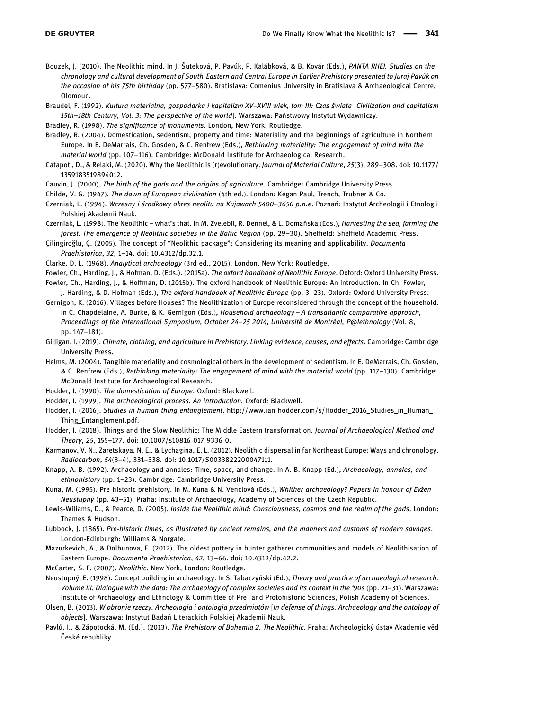- <span id="page-9-20"></span>Bouzek, J. (2010). The Neolithic mind. In J. Šuteková, P. Pavúk, P. Kalábková, & B. Kovár (Eds.), PANTA RHEI. Studies on the chronology and cultural development of South-Eastern and Central Europe in Earlier Prehistory presented to Juraj Pavúk on the occasion of his 75th birthday (pp. 577–580). Bratislava: Comenius University in Bratislava & Archaeological Centre, Olomouc.
- <span id="page-9-19"></span>Braudel, F. (1992). Kultura materialna, gospodarka i kapitalizm XV-XVIII wiek, tom III: Czas świata [Civilization and capitalism 15th–18th Century, Vol. 3: The perspective of the world]. Warszawa: Państwowy Instytut Wydawniczy.
- <span id="page-9-23"></span>Bradley, R. (1998). The significance of monuments. London, New York: Routledge.

<span id="page-9-22"></span>Bradley, R. (2004). Domestication, sedentism, property and time: Materiality and the beginnings of agriculture in Northern Europe. In E. DeMarrais, Ch. Gosden, & C. Renfrew (Eds.), Rethinking materiality: The engagement of mind with the material world (pp. 107–116). Cambridge: McDonald Institute for Archaeological Research.

- <span id="page-9-7"></span>Catapoti, D., & Relaki, M. (2020). Why the Neolithic is (r)evolutionary. Journal of Material Culture, 25(3), 289–308. doi: 10.1177/ 1359183519894012.
- <span id="page-9-12"></span>Cauvin, J. (2000). The birth of the gods and the origins of agriculture. Cambridge: Cambridge University Press.

<span id="page-9-6"></span>Childe, V. G. (1947). The dawn of European civilization (4th ed.). London: Kegan Paul, Trench, Trubner & Co.

- Czerniak, L. (1994). Wczesny i środkowy okres neolitu na Kujawach 5400–3650 p.n.e. Poznań: Instytut Archeologii i Etnologii Polskiej Akademii Nauk.
- <span id="page-9-2"></span>Czerniak, L. (1998). The Neolithic – what's that. In M. Zvelebil, R. Dennel, & L. Domańska (Eds.), Harvesting the sea, farming the forest. The emergence of Neolithic societies in the Baltic Region (pp. 29–30). Sheffield: Sheffield Academic Press.
- <span id="page-9-1"></span>Çilingiroğlu, Ç. (2005). The concept of "Neolithic package": Considering its meaning and applicability. Documenta Praehistorica, 32, 1–14. doi: 10.4312/dp.32.1.
- <span id="page-9-25"></span>Clarke, D. L. (1968). Analytical archaeology (3rd ed., 2015). London, New York: Routledge.
- Fowler, Ch., Harding, J., & Hofman, D. (Eds.). (2015a). The oxford handbook of Neolithic Europe. Oxford: Oxford University Press. Fowler, Ch., Harding, J., & Hoffman, D. (2015b). The oxford handbook of Neolithic Europe: An introduction. In Ch. Fowler,
- J. Harding, & D. Hofman (Eds.), The oxford handbook of Neolithic Europe (pp. 3-23). Oxford: Oxford University Press.
- <span id="page-9-3"></span>Gernigon, K. (2016). Villages before Houses? The Neolithization of Europe reconsidered through the concept of the household. In C. Chapdelaine, A. Burke, & K. Gernigon (Eds.), Household archaeology - A transatlantic comparative approach, Proceedings of the international Symposium, October 24–25 2014, Université de Montréal, P@lethnology (Vol. 8, pp. 147–181).
- <span id="page-9-4"></span>Gilligan, I. (2019). Climate, clothing, and agriculture in Prehistory. Linking evidence, causes, and effects. Cambridge: Cambridge University Press.
- <span id="page-9-21"></span>Helms, M. (2004). Tangible materiality and cosmological others in the development of sedentism. In E. DeMarrais, Ch. Gosden, & C. Renfrew (Eds.), Rethinking materiality: The engagement of mind with the material world (pp. 117–130). Cambridge: McDonald Institute for Archaeological Research.
- Hodder, I. (1990). The domestication of Europe. Oxford: Blackwell.
- <span id="page-9-24"></span>Hodder, I. (1999). The archaeological process. An introduction. Oxford: Blackwell.
- <span id="page-9-10"></span>Hodder, I. (2016). Studies in human-thing entanglement. http://www.ian-[hodder.com/s/Hodder\\_2016\\_Studies\\_in\\_Human\\_](http://www.ian-hodder.com/s/Hodder_2016_Studies_in_Human_Thing_Entanglement.pdf) [Thing\\_Entanglement.pdf](http://www.ian-hodder.com/s/Hodder_2016_Studies_in_Human_Thing_Entanglement.pdf).
- <span id="page-9-13"></span>Hodder, I. (2018). Things and the Slow Neolithic: The Middle Eastern transformation. Journal of Archaeological Method and Theory, 25, 155–177. doi: 10.1007/s10816-017-9336-0.
- <span id="page-9-14"></span>Karmanov, V. N., Zaretskaya, N. E., & Lychagina, E. L. (2012). Neolithic dispersal in far Northeast Europe: Ways and chronology. Radiocarbon, 54(3–4), 331–338. doi: 10.1017/S0033822200047111.
- <span id="page-9-15"></span>Knapp, A. B. (1992). Archaeology and annales: Time, space, and change. In A. B. Knapp (Ed.), Archaeology, annales, and ethnohistory (pp. 1–23). Cambridge: Cambridge University Press.
- <span id="page-9-8"></span>Kuna, M. (1995). Pre-historic prehistory. In M. Kuna & N. Venclová (Eds.), Whither archaeology? Papers in honour of Evžen Neustupný (pp. 43–51). Praha: Institute of Archaeology, Academy of Sciences of the Czech Republic.
- <span id="page-9-16"></span>Lewis-Wiliams, D., & Pearce, D. (2005). Inside the Neolithic mind: Consciousness, cosmos and the realm of the gods. London: Thames & Hudson.
- <span id="page-9-17"></span>Lubbock, J. (1865). Pre-historic times, as illustrated by ancient remains, and the manners and customs of modern savages. London-Edinburgh: Williams & Norgate.
- <span id="page-9-11"></span>Mazurkevich, A., & Dolbunova, E. (2012). The oldest pottery in hunter-gatherer communities and models of Neolithisation of Eastern Europe. Documenta Praehistorica, 42, 13–66. doi: 10.4312/dp.42.2.

<span id="page-9-0"></span>McCarter, S. F. (2007). Neolithic. New York, London: Routledge.

- <span id="page-9-9"></span>Neustupný, E. (1998). Concept building in archaeology. In S. Tabaczyński (Ed.), Theory and practice of archaeological research. Volume III. Dialogue with the data: The archaeology of complex societies and its context in the '90s (pp. 21–31). Warszawa: Institute of Archaeology and Ethnology & Committee of Pre- and Protohistoric Sciences, Polish Academy of Sciences.
- <span id="page-9-5"></span>Olsen, B. (2013). W obronie rzeczy. Archeologia i ontologia przedmiotów [In defense of things. Archaeology and the ontology of objects]. Warszawa: Instytut Badań Literackich Polskiej Akademii Nauk.
- <span id="page-9-18"></span>Pavlů, I., & Zápotocká, M. (Ed.). (2013). The Prehistory of Bohemia 2. The Neolithic. Praha: Archeologický ústav Akademie věd České republiky.